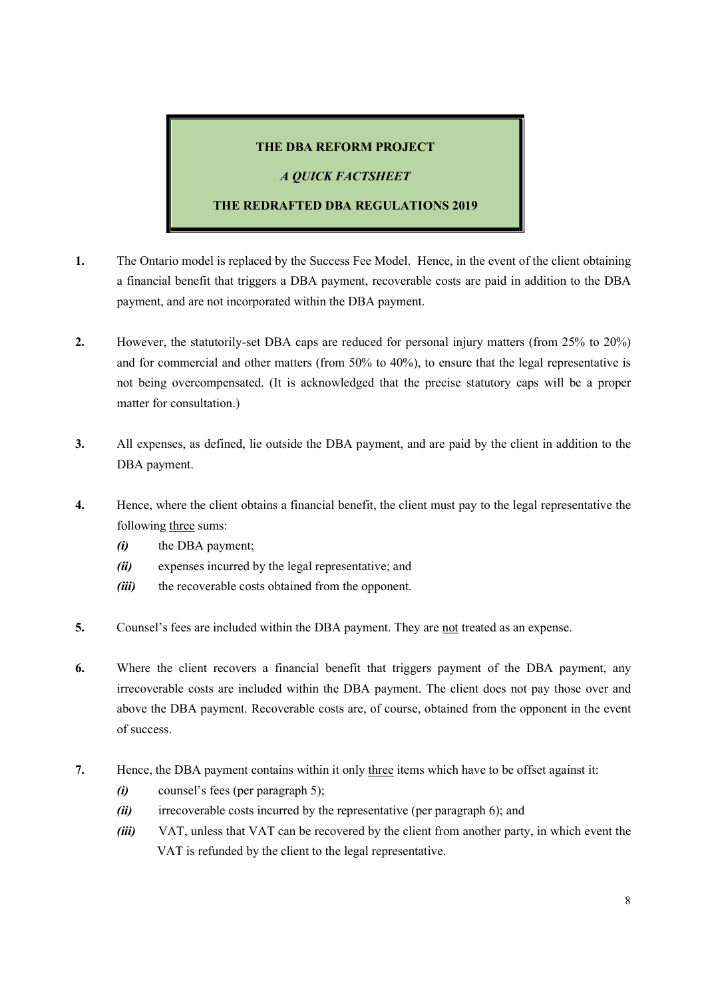## THE DBA REFORM PROJECT

## A QUICK FACTSHEET

## THE REDRAFTED DBA REGULATIONS 2019

- 1. The Ontario model is replaced by the Success Fee Model. Hence, in the event of the client obtaining a financial benefit that triggers a DBA payment, recoverable costs are paid in addition to the DBA payment, and are not incorporated within the DBA payment.
- 2. However, the statutorily-set DBA caps are reduced for personal injury matters (from 25% to 20%) and for commercial and other matters (from 50% to 40%), to ensure that the legal representative is not being overcompensated. (It is acknowledged that the precise statutory caps will be a proper matter for consultation.)
- 3. All expenses, as defined, lie outside the DBA payment, and are paid by the client in addition to the DBA payment.
- 4. Hence, where the client obtains a financial benefit, the client must pay to the legal representative the following three sums:
	- (i) the DBA payment;
	- (ii) expenses incurred by the legal representative; and
	- (iii) the recoverable costs obtained from the opponent.
- 5. Counsel's fees are included within the DBA payment. They are not treated as an expense.
- 6. Where the client recovers a financial benefit that triggers payment of the DBA payment, any irrecoverable costs are included within the DBA payment. The client does not pay those over and above the DBA payment. Recoverable costs are, of course, obtained from the opponent in the event of success.
- 7. Hence, the DBA payment contains within it only three items which have to be offset against it:
	- (i) counsel's fees (per paragraph 5);
	- $(ii)$  irrecoverable costs incurred by the representative (per paragraph 6); and
	- (iii) VAT, unless that VAT can be recovered by the client from another party, in which event the VAT is refunded by the client to the legal representative.